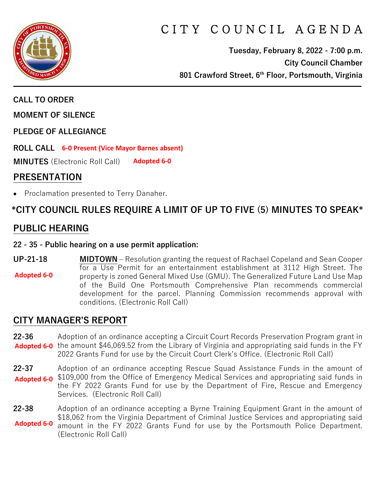

# CITY COUNCIL AGENDA

**Tuesday, February 8, 2022 - 7:00 p.m. City Council Chamber 801 Crawford Street, 6th Floor, Portsmouth, Virginia**

**CALL TO ORDER**

**MOMENT OF SILENCE**

**PLEDGE OF ALLEGIANCE** 

**ROLL CALL 6-0 Present (Vice Mayor Barnes absent)**

**MINUTES** (Electronic Roll Call) **Adopted 6-0**

### **PRESENTATION**

• Proclamation presented to Terry Danaher.

# **\*CITY COUNCIL RULES REQUIRE A LIMIT OF UP TO FIVE (5) MINUTES TO SPEAK\***

# **PUBLIC HEARING**

#### **22 - 35 - Public hearing on a use permit application:**

**UP-21-18 MIDTOWN –** Resolution granting the request of Rachael Copeland and Sean Cooper for a Use Permit for an entertainment establishment at 3112 High Street. The property is zoned General Mixed Use (GMU). The Generalized Future Land Use Map of the Build One Portsmouth Comprehensive Plan recommends commercial development for the parcel. Planning Commission recommends approval with conditions. (Electronic Roll Call) **Adopted 6-0**

### **CITY MANAGER'S REPORT**

- **22-36** Adoption of an ordinance accepting a Circuit Court Records Preservation Program grant in Adopted 6-0 the amount \$46,069.52 from the Library of Virginia and appropriating said funds in the FY 2022 Grants Fund for use by the Circuit Court Clerk's Office. (Electronic Roll Call)
- **22-37** Adoption of an ordinance accepting Rescue Squad Assistance Funds in the amount of \$109,000 from the Office of Emergency Medical Services and appropriating said funds in **Adopted 6-0** the FY 2022 Grants Fund for use by the Department of Fire, Rescue and Emergency Services. (Electronic Roll Call)
- **22-38** Adoption of an ordinance accepting a Byrne Training Equipment Grant in the amount of \$18,062 from the Virginia Department of Criminal Justice Services and appropriating said amount in the FY 2022 Grants Fund for use by the Portsmouth Police Department. (Electronic Roll Call) **Adopted 6-0**